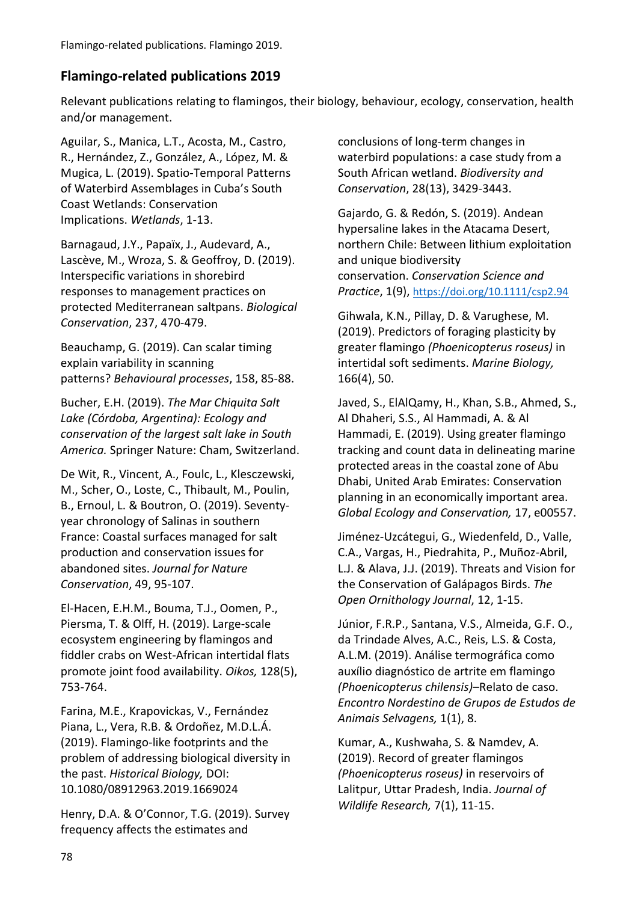## **Flamingo-related publications 2019**

Relevant publications relating to flamingos, their biology, behaviour, ecology, conservation, health and/or management.

Aguilar, S., Manica, L.T., Acosta, M., Castro, R., Hernández, Z., González, A., López, M. & Mugica, L. (2019). Spatio-Temporal Patterns of Waterbird Assemblages in Cuba's South Coast Wetlands: Conservation Implications. *Wetlands*, 1-13.

Barnagaud, J.Y., Papaïx, J., Audevard, A., Lascève, M., Wroza, S. & Geoffroy, D. (2019). Interspecific variations in shorebird responses to management practices on protected Mediterranean saltpans. *Biological Conservation*, 237, 470-479.

Beauchamp, G. (2019). Can scalar timing explain variability in scanning patterns? *Behavioural processes*, 158, 85-88.

Bucher, E.H. (2019). *The Mar Chiquita Salt Lake (Córdoba, Argentina): Ecology and conservation of the largest salt lake in South America.* Springer Nature: Cham, Switzerland.

De Wit, R., Vincent, A., Foulc, L., Klesczewski, M., Scher, O., Loste, C., Thibault, M., Poulin, B., Ernoul, L. & Boutron, O. (2019). Seventyyear chronology of Salinas in southern France: Coastal surfaces managed for salt production and conservation issues for abandoned sites. *Journal for Nature Conservation*, 49, 95-107.

El‐Hacen, E.H.M., Bouma, T.J., Oomen, P., Piersma, T. & Olff, H. (2019). Large‐scale ecosystem engineering by flamingos and fiddler crabs on West‐African intertidal flats promote joint food availability. *Oikos,* 128(5), 753-764.

Farina, M.E., Krapovickas, V., Fernández Piana, L., Vera, R.B. & Ordoñez, M.D.L.Á. (2019). Flamingo-like footprints and the problem of addressing biological diversity in the past. *Historical Biology,* DOI: 10.1080/08912963.2019.1669024

Henry, D.A. & O'Connor, T.G. (2019). Survey frequency affects the estimates and

conclusions of long-term changes in waterbird populations: a case study from a South African wetland. *Biodiversity and Conservation*, 28(13), 3429-3443.

Gajardo, G. & Redón, S. (2019). Andean hypersaline lakes in the Atacama Desert, northern Chile: Between lithium exploitation and unique biodiversity conservation. *Conservation Science and Practice*, 1(9), <https://doi.org/10.1111/csp2.94>

Gihwala, K.N., Pillay, D. & Varughese, M. (2019). Predictors of foraging plasticity by greater flamingo *(Phoenicopterus roseus)* in intertidal soft sediments. *Marine Biology,* 166(4), 50.

Javed, S., ElAlQamy, H., Khan, S.B., Ahmed, S., Al Dhaheri, S.S., Al Hammadi, A. & Al Hammadi, E. (2019). Using greater flamingo tracking and count data in delineating marine protected areas in the coastal zone of Abu Dhabi, United Arab Emirates: Conservation planning in an economically important area. *Global Ecology and Conservation,* 17, e00557.

Jiménez-Uzcátegui, G., Wiedenfeld, D., Valle, C.A., Vargas, H., Piedrahita, P., Muñoz-Abril, L.J. & Alava, J.J. (2019). Threats and Vision for the Conservation of Galápagos Birds. *The Open Ornithology Journal*, 12, 1-15.

Júnior, F.R.P., Santana, V.S., Almeida, G.F. O., da Trindade Alves, A.C., Reis, L.S. & Costa, A.L.M. (2019). Análise termográfica como auxílio diagnóstico de artrite em flamingo *(Phoenicopterus chilensis)*–Relato de caso. *Encontro Nordestino de Grupos de Estudos de Animais Selvagens,* 1(1), 8.

Kumar, A., Kushwaha, S. & Namdev, A. (2019). Record of greater flamingos *(Phoenicopterus roseus)* in reservoirs of Lalitpur, Uttar Pradesh, India. *Journal of Wildlife Research,* 7(1), 11-15.